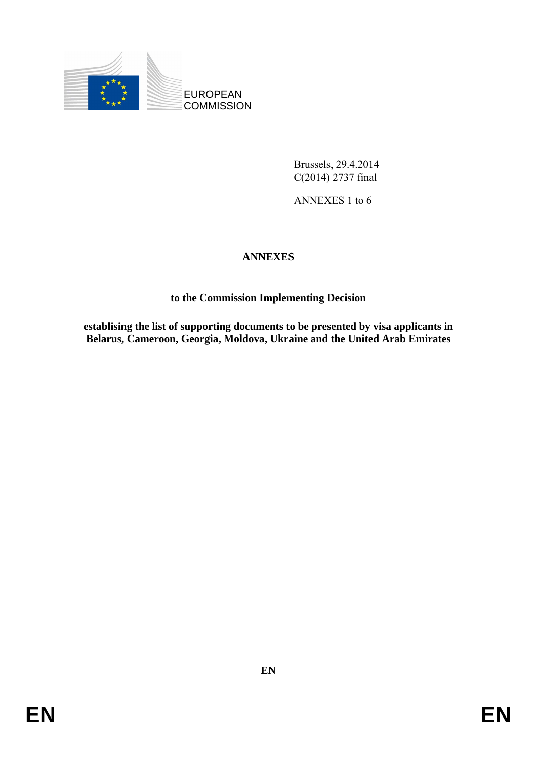

Brussels, 29.4.2014 C(2014) 2737 final

ANNEXES 1 to 6

# **ANNEXES**

# **to the Commission Implementing Decision**

**establising the list of supporting documents to be presented by visa applicants in Belarus, Cameroon, Georgia, Moldova, Ukraine and the United Arab Emirates**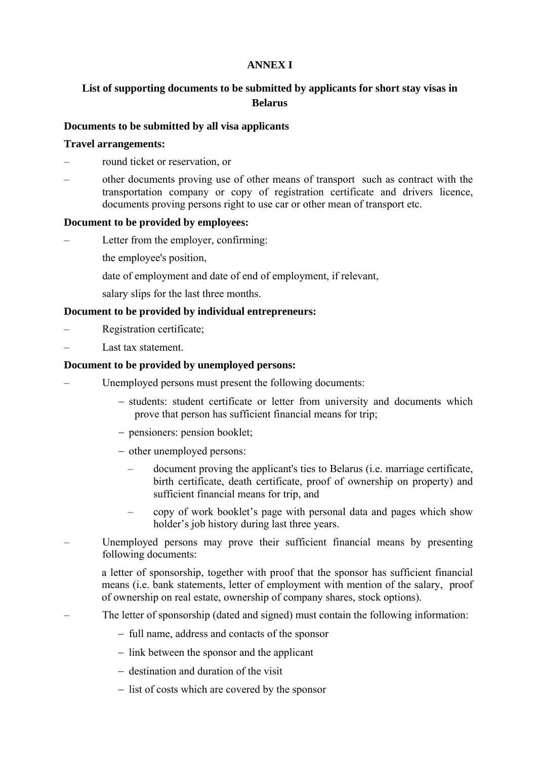## **ANNEX I**

## **List of supporting documents to be submitted by applicants for short stay visas in Belarus**

#### **Documents to be submitted by all visa applicants**

#### **Travel arrangements:**

– round ticket or reservation, or

– other documents proving use of other means of transport such as contract with the transportation company or copy of registration certificate and drivers licence, documents proving persons right to use car or other mean of transport etc.

#### **Document to be provided by employees:**

- Letter from the employer, confirming:
	- the employee's position,
	- date of employment and date of end of employment, if relevant,
	- salary slips for the last three months.

#### **Document to be provided by individual entrepreneurs:**

- Registration certificate;
- Last tax statement.

#### **Document to be provided by unemployed persons:**

- Unemployed persons must present the following documents:
	- − students: student certificate or letter from university and documents which prove that person has sufficient financial means for trip;
	- − pensioners: pension booklet;
	- − other unemployed persons:
		- document proving the applicant's ties to Belarus (i.e. marriage certificate, birth certificate, death certificate, proof of ownership on property) and sufficient financial means for trip, and
		- copy of work booklet's page with personal data and pages which show holder's job history during last three years.
- Unemployed persons may prove their sufficient financial means by presenting following documents:

a letter of sponsorship, together with proof that the sponsor has sufficient financial means (i.e. bank statements, letter of employment with mention of the salary, proof of ownership on real estate, ownership of company shares, stock options).

- The letter of sponsorship (dated and signed) must contain the following information:
	- − full name, address and contacts of the sponsor
	- − link between the sponsor and the applicant
	- − destination and duration of the visit
	- − list of costs which are covered by the sponsor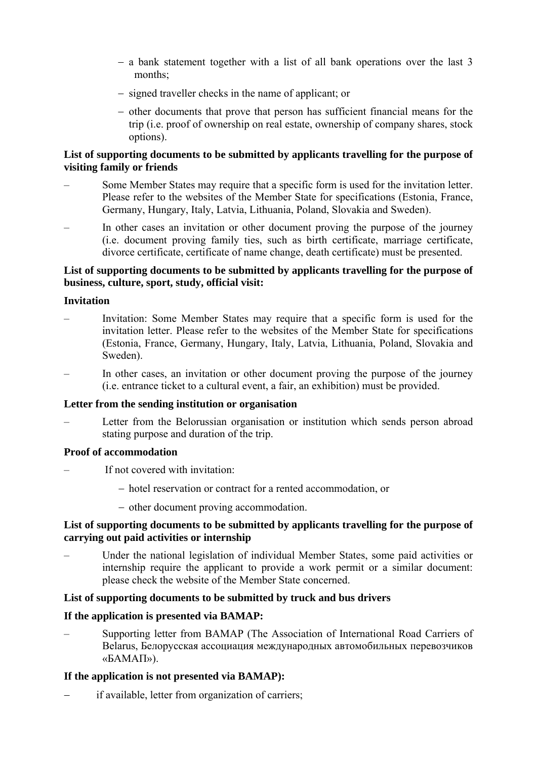- − a bank statement together with a list of all bank operations over the last 3 months;
- − signed traveller checks in the name of applicant; or
- − other documents that prove that person has sufficient financial means for the trip (i.e. proof of ownership on real estate, ownership of company shares, stock options).

## **List of supporting documents to be submitted by applicants travelling for the purpose of visiting family or friends**

- Some Member States may require that a specific form is used for the invitation letter. Please refer to the websites of the Member State for specifications (Estonia, France, Germany, Hungary, Italy, Latvia, Lithuania, Poland, Slovakia and Sweden).
- In other cases an invitation or other document proving the purpose of the journey (i.e. document proving family ties, such as birth certificate, marriage certificate, divorce certificate, certificate of name change, death certificate) must be presented.

## **List of supporting documents to be submitted by applicants travelling for the purpose of business, culture, sport, study, official visit:**

#### **Invitation**

- Invitation: Some Member States may require that a specific form is used for the invitation letter. Please refer to the websites of the Member State for specifications (Estonia, France, Germany, Hungary, Italy, Latvia, Lithuania, Poland, Slovakia and Sweden).
- In other cases, an invitation or other document proving the purpose of the journey (i.e. entrance ticket to a cultural event, a fair, an exhibition) must be provided.

#### **Letter from the sending institution or organisation**

– Letter from the Belorussian organisation or institution which sends person abroad stating purpose and duration of the trip.

#### **Proof of accommodation**

- If not covered with invitation:
	- − hotel reservation or contract for a rented accommodation, or
	- − other document proving accommodation.

#### **List of supporting documents to be submitted by applicants travelling for the purpose of carrying out paid activities or internship**

– Under the national legislation of individual Member States, some paid activities or internship require the applicant to provide a work permit or a similar document: please check the website of the Member State concerned.

## **List of supporting documents to be submitted by truck and bus drivers**

## **If the application is presented via BAMAP:**

– Supporting letter from BAMAP (The Association of International Road Carriers of Belarus, Белорусская ассоциация международных автомобильных перевозчиков «БАМАП»).

## **If the application is not presented via BAMAP):**

if available, letter from organization of carriers;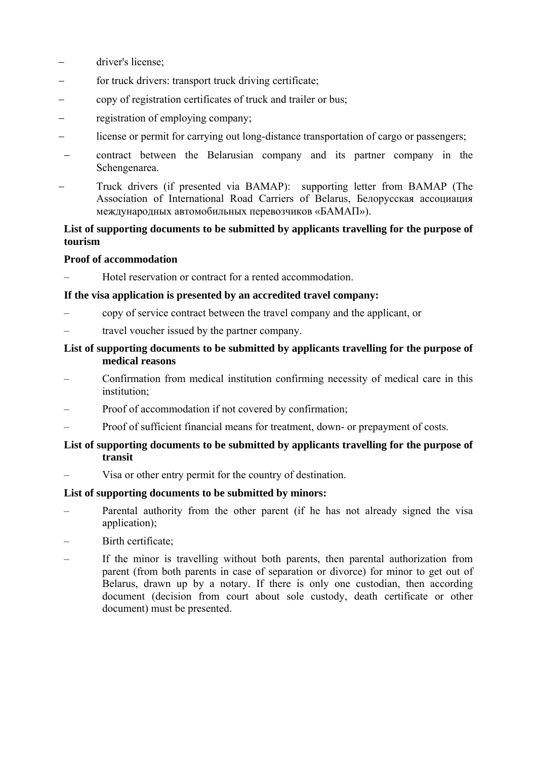- driver's license;
- for truck drivers: transport truck driving certificate;
- − copy of registration certificates of truck and trailer or bus;
- − registration of employing company;
- − license or permit for carrying out long-distance transportation of cargo or passengers;
- contract between the Belarusian company and its partner company in the Schengenarea.
- Truck drivers (if presented via BAMAP): supporting letter from BAMAP (The Association of International Road Carriers of Belarus, Белорусская ассоциация международных автомобильных перевозчиков «БАМАП»).

## **List of supporting documents to be submitted by applicants travelling for the purpose of tourism**

#### **Proof of accommodation**

– Hotel reservation or contract for a rented accommodation.

#### **If the visa application is presented by an accredited travel company:**

- copy of service contract between the travel company and the applicant, or
- travel voucher issued by the partner company.

## **List of supporting documents to be submitted by applicants travelling for the purpose of medical reasons**

- Confirmation from medical institution confirming necessity of medical care in this institution;
- Proof of accommodation if not covered by confirmation;
- Proof of sufficient financial means for treatment, down- or prepayment of costs.

## **List of supporting documents to be submitted by applicants travelling for the purpose of transit**

– Visa or other entry permit for the country of destination.

#### **List of supporting documents to be submitted by minors:**

- Parental authority from the other parent (if he has not already signed the visa application);
- Birth certificate;
- If the minor is travelling without both parents, then parental authorization from parent (from both parents in case of separation or divorce) for minor to get out of Belarus, drawn up by a notary. If there is only one custodian, then according document (decision from court about sole custody, death certificate or other document) must be presented.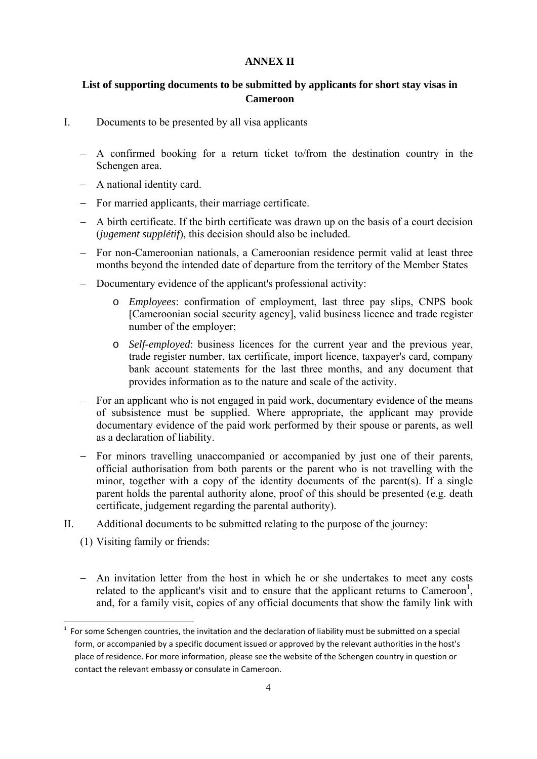#### **ANNEX II**

## **List of supporting documents to be submitted by applicants for short stay visas in Cameroon**

- I. Documents to be presented by all visa applicants
	- − A confirmed booking for a return ticket to/from the destination country in the Schengen area.
	- − A national identity card.
	- − For married applicants, their marriage certificate.
	- − A birth certificate. If the birth certificate was drawn up on the basis of a court decision (*jugement supplétif*), this decision should also be included.
	- − For non-Cameroonian nationals, a Cameroonian residence permit valid at least three months beyond the intended date of departure from the territory of the Member States
	- − Documentary evidence of the applicant's professional activity:
		- o *Employees*: confirmation of employment, last three pay slips, CNPS book [Cameroonian social security agency], valid business licence and trade register number of the employer;
		- o *Self-employed*: business licences for the current year and the previous year, trade register number, tax certificate, import licence, taxpayer's card, company bank account statements for the last three months, and any document that provides information as to the nature and scale of the activity.
	- − For an applicant who is not engaged in paid work, documentary evidence of the means of subsistence must be supplied. Where appropriate, the applicant may provide documentary evidence of the paid work performed by their spouse or parents, as well as a declaration of liability.
	- − For minors travelling unaccompanied or accompanied by just one of their parents, official authorisation from both parents or the parent who is not travelling with the minor, together with a copy of the identity documents of the parent(s). If a single parent holds the parental authority alone, proof of this should be presented (e.g. death certificate, judgement regarding the parental authority).
- II. Additional documents to be submitted relating to the purpose of the journey:
	- (1) Visiting family or friends:

**.** 

− An invitation letter from the host in which he or she undertakes to meet any costs related to the applicant's visit and to ensure that the applicant returns to Cameroon<sup>1</sup>, and, for a family visit, copies of any official documents that show the family link with

 $1$  For some Schengen countries, the invitation and the declaration of liability must be submitted on a special form, or accompanied by a specific document issued or approved by the relevant authorities in the host's place of residence. For more information, please see the website of the Schengen country in question or contact the relevant embassy or consulate in Cameroon.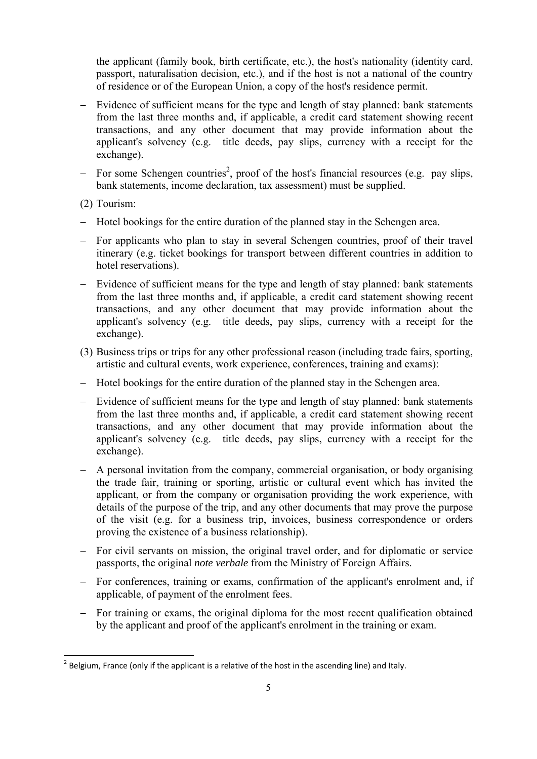the applicant (family book, birth certificate, etc.), the host's nationality (identity card, passport, naturalisation decision, etc.), and if the host is not a national of the country of residence or of the European Union, a copy of the host's residence permit.

- − Evidence of sufficient means for the type and length of stay planned: bank statements from the last three months and, if applicable, a credit card statement showing recent transactions, and any other document that may provide information about the applicant's solvency (e.g. title deeds, pay slips, currency with a receipt for the exchange).
- − For some Schengen countries<sup>2</sup>, proof of the host's financial resources (e.g. pay slips, bank statements, income declaration, tax assessment) must be supplied.
- (2) Tourism:

1

- − Hotel bookings for the entire duration of the planned stay in the Schengen area.
- − For applicants who plan to stay in several Schengen countries, proof of their travel itinerary (e.g. ticket bookings for transport between different countries in addition to hotel reservations).
- − Evidence of sufficient means for the type and length of stay planned: bank statements from the last three months and, if applicable, a credit card statement showing recent transactions, and any other document that may provide information about the applicant's solvency (e.g. title deeds, pay slips, currency with a receipt for the exchange).
- (3) Business trips or trips for any other professional reason (including trade fairs, sporting, artistic and cultural events, work experience, conferences, training and exams):
- − Hotel bookings for the entire duration of the planned stay in the Schengen area.
- − Evidence of sufficient means for the type and length of stay planned: bank statements from the last three months and, if applicable, a credit card statement showing recent transactions, and any other document that may provide information about the applicant's solvency (e.g. title deeds, pay slips, currency with a receipt for the exchange).
- − A personal invitation from the company, commercial organisation, or body organising the trade fair, training or sporting, artistic or cultural event which has invited the applicant, or from the company or organisation providing the work experience, with details of the purpose of the trip, and any other documents that may prove the purpose of the visit (e.g. for a business trip, invoices, business correspondence or orders proving the existence of a business relationship).
- − For civil servants on mission, the original travel order, and for diplomatic or service passports, the original *note verbale* from the Ministry of Foreign Affairs.
- − For conferences, training or exams, confirmation of the applicant's enrolment and, if applicable, of payment of the enrolment fees.
- − For training or exams, the original diploma for the most recent qualification obtained by the applicant and proof of the applicant's enrolment in the training or exam.

 $2$  Belgium, France (only if the applicant is a relative of the host in the ascending line) and Italy.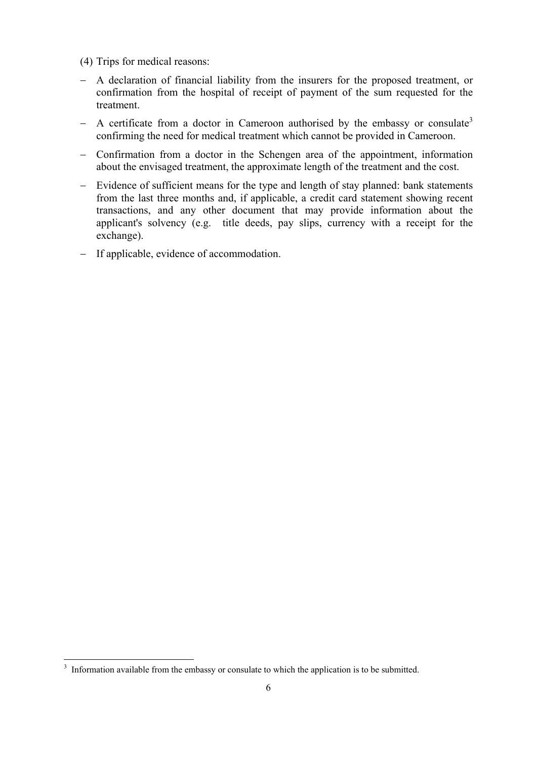- (4) Trips for medical reasons:
- − A declaration of financial liability from the insurers for the proposed treatment, or confirmation from the hospital of receipt of payment of the sum requested for the treatment.
- $-$  A certificate from a doctor in Cameroon authorised by the embassy or consulate<sup>3</sup> confirming the need for medical treatment which cannot be provided in Cameroon.
- − Confirmation from a doctor in the Schengen area of the appointment, information about the envisaged treatment, the approximate length of the treatment and the cost.
- − Evidence of sufficient means for the type and length of stay planned: bank statements from the last three months and, if applicable, a credit card statement showing recent transactions, and any other document that may provide information about the applicant's solvency (e.g. title deeds, pay slips, currency with a receipt for the exchange).
- − If applicable, evidence of accommodation.

<sup>&</sup>lt;sup>3</sup> Information available from the embassy or consulate to which the application is to be submitted.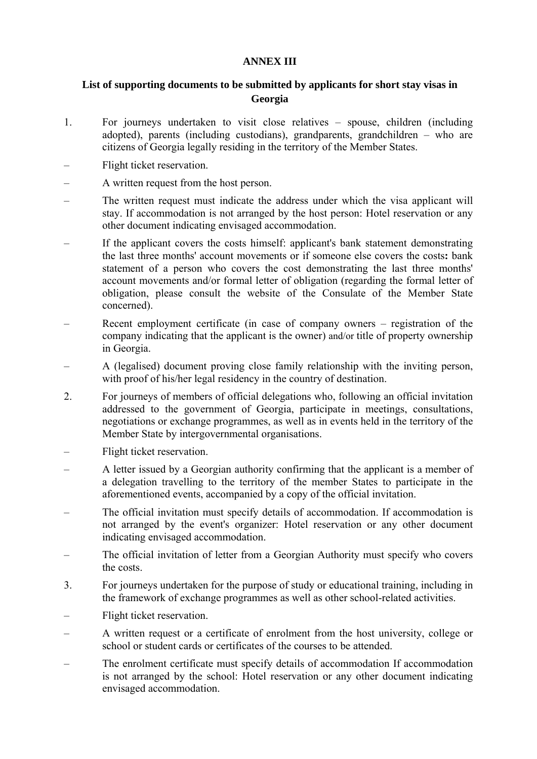## **ANNEX III**

## **List of supporting documents to be submitted by applicants for short stay visas in Georgia**

- 1. For journeys undertaken to visit close relatives spouse, children (including adopted), parents (including custodians), grandparents, grandchildren – who are citizens of Georgia legally residing in the territory of the Member States.
- Flight ticket reservation.
- A written request from the host person.
- The written request must indicate the address under which the visa applicant will stay. If accommodation is not arranged by the host person: Hotel reservation or any other document indicating envisaged accommodation.
- If the applicant covers the costs himself: applicant's bank statement demonstrating the last three months' account movements or if someone else covers the costs**:** bank statement of a person who covers the cost demonstrating the last three months' account movements and/or formal letter of obligation (regarding the formal letter of obligation, please consult the website of the Consulate of the Member State concerned).
- Recent employment certificate (in case of company owners registration of the company indicating that the applicant is the owner) and/or title of property ownership in Georgia.
- A (legalised) document proving close family relationship with the inviting person, with proof of his/her legal residency in the country of destination.
- 2. For journeys of members of official delegations who, following an official invitation addressed to the government of Georgia, participate in meetings, consultations, negotiations or exchange programmes, as well as in events held in the territory of the Member State by intergovernmental organisations.
- Flight ticket reservation.
- A letter issued by a Georgian authority confirming that the applicant is a member of a delegation travelling to the territory of the member States to participate in the aforementioned events, accompanied by a copy of the official invitation.
- The official invitation must specify details of accommodation. If accommodation is not arranged by the event's organizer: Hotel reservation or any other document indicating envisaged accommodation.
- The official invitation of letter from a Georgian Authority must specify who covers the costs.
- 3. For journeys undertaken for the purpose of study or educational training, including in the framework of exchange programmes as well as other school-related activities.
- Flight ticket reservation.
- A written request or a certificate of enrolment from the host university, college or school or student cards or certificates of the courses to be attended.
- The enrolment certificate must specify details of accommodation If accommodation is not arranged by the school: Hotel reservation or any other document indicating envisaged accommodation.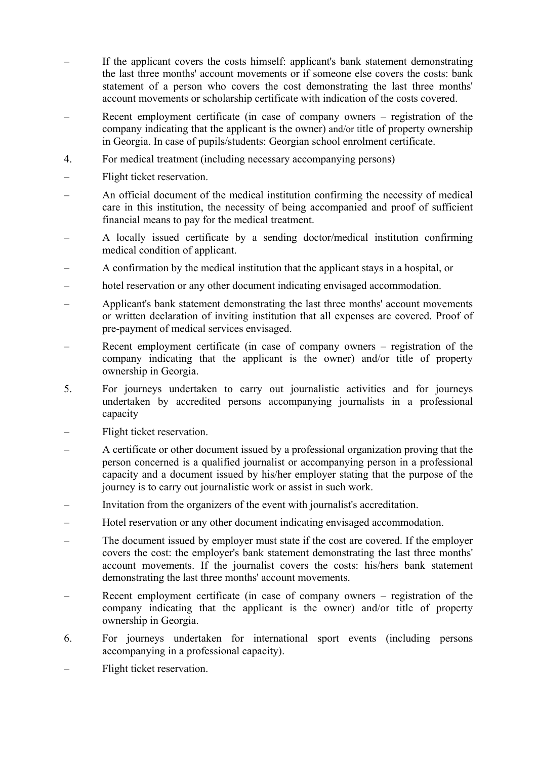- If the applicant covers the costs himself: applicant's bank statement demonstrating the last three months' account movements or if someone else covers the costs: bank statement of a person who covers the cost demonstrating the last three months' account movements or scholarship certificate with indication of the costs covered.
- Recent employment certificate (in case of company owners registration of the company indicating that the applicant is the owner) and/or title of property ownership in Georgia. In case of pupils/students: Georgian school enrolment certificate.
- 4. For medical treatment (including necessary accompanying persons)
- Flight ticket reservation.
- An official document of the medical institution confirming the necessity of medical care in this institution, the necessity of being accompanied and proof of sufficient financial means to pay for the medical treatment.
- A locally issued certificate by a sending doctor/medical institution confirming medical condition of applicant.
- A confirmation by the medical institution that the applicant stays in a hospital, or
- hotel reservation or any other document indicating envisaged accommodation.
- Applicant's bank statement demonstrating the last three months' account movements or written declaration of inviting institution that all expenses are covered. Proof of pre-payment of medical services envisaged.
- Recent employment certificate (in case of company owners registration of the company indicating that the applicant is the owner) and/or title of property ownership in Georgia.
- 5. For journeys undertaken to carry out journalistic activities and for journeys undertaken by accredited persons accompanying journalists in a professional capacity
- Flight ticket reservation.
- A certificate or other document issued by a professional organization proving that the person concerned is a qualified journalist or accompanying person in a professional capacity and a document issued by his/her employer stating that the purpose of the journey is to carry out journalistic work or assist in such work.
- Invitation from the organizers of the event with journalist's accreditation.
- Hotel reservation or any other document indicating envisaged accommodation.
- The document issued by employer must state if the cost are covered. If the employer covers the cost: the employer's bank statement demonstrating the last three months' account movements. If the journalist covers the costs: his/hers bank statement demonstrating the last three months' account movements.
- Recent employment certificate (in case of company owners registration of the company indicating that the applicant is the owner) and/or title of property ownership in Georgia.
- 6. For journeys undertaken for international sport events (including persons accompanying in a professional capacity).
- Flight ticket reservation.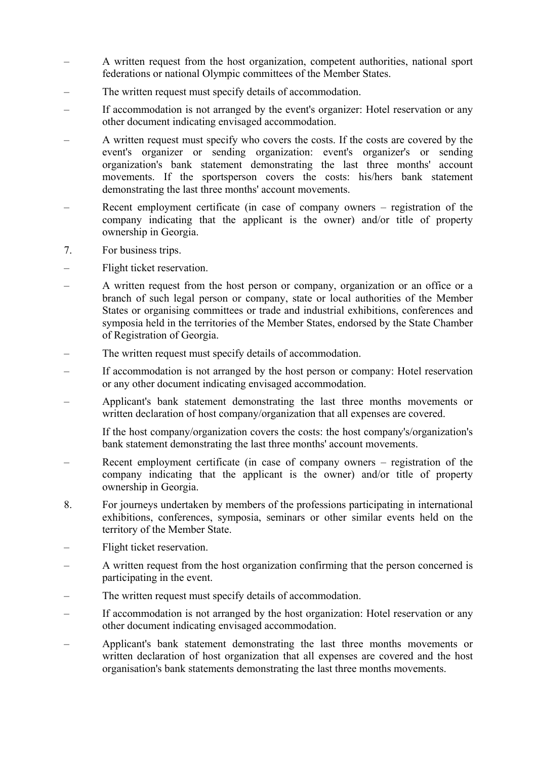- A written request from the host organization, competent authorities, national sport federations or national Olympic committees of the Member States.
- The written request must specify details of accommodation.
- If accommodation is not arranged by the event's organizer: Hotel reservation or any other document indicating envisaged accommodation.
- A written request must specify who covers the costs. If the costs are covered by the event's organizer or sending organization: event's organizer's or sending organization's bank statement demonstrating the last three months' account movements. If the sportsperson covers the costs: his/hers bank statement demonstrating the last three months' account movements.
- Recent employment certificate (in case of company owners registration of the company indicating that the applicant is the owner) and/or title of property ownership in Georgia.
- 7. For business trips.
- Flight ticket reservation.
- A written request from the host person or company, organization or an office or a branch of such legal person or company, state or local authorities of the Member States or organising committees or trade and industrial exhibitions, conferences and symposia held in the territories of the Member States, endorsed by the State Chamber of Registration of Georgia.
- The written request must specify details of accommodation.
- If accommodation is not arranged by the host person or company: Hotel reservation or any other document indicating envisaged accommodation.
- Applicant's bank statement demonstrating the last three months movements or written declaration of host company/organization that all expenses are covered.

If the host company/organization covers the costs: the host company's/organization's bank statement demonstrating the last three months' account movements.

- Recent employment certificate (in case of company owners registration of the company indicating that the applicant is the owner) and/or title of property ownership in Georgia.
- 8. For journeys undertaken by members of the professions participating in international exhibitions, conferences, symposia, seminars or other similar events held on the territory of the Member State.
- Flight ticket reservation.
- A written request from the host organization confirming that the person concerned is participating in the event.
- The written request must specify details of accommodation.
- If accommodation is not arranged by the host organization: Hotel reservation or any other document indicating envisaged accommodation.
- Applicant's bank statement demonstrating the last three months movements or written declaration of host organization that all expenses are covered and the host organisation's bank statements demonstrating the last three months movements.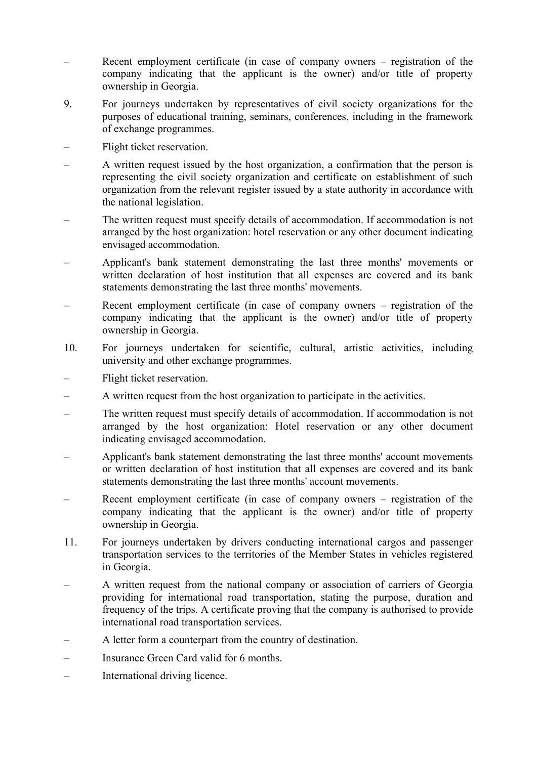- Recent employment certificate (in case of company owners registration of the company indicating that the applicant is the owner) and/or title of property ownership in Georgia.
- 9. For journeys undertaken by representatives of civil society organizations for the purposes of educational training, seminars, conferences, including in the framework of exchange programmes.
- Flight ticket reservation.
- A written request issued by the host organization, a confirmation that the person is representing the civil society organization and certificate on establishment of such organization from the relevant register issued by a state authority in accordance with the national legislation.
- The written request must specify details of accommodation. If accommodation is not arranged by the host organization: hotel reservation or any other document indicating envisaged accommodation.
- Applicant's bank statement demonstrating the last three months' movements or written declaration of host institution that all expenses are covered and its bank statements demonstrating the last three months' movements.
- Recent employment certificate (in case of company owners registration of the company indicating that the applicant is the owner) and/or title of property ownership in Georgia.
- 10. For journeys undertaken for scientific, cultural, artistic activities, including university and other exchange programmes.
- Flight ticket reservation.
- A written request from the host organization to participate in the activities.
- The written request must specify details of accommodation. If accommodation is not arranged by the host organization: Hotel reservation or any other document indicating envisaged accommodation.
- Applicant's bank statement demonstrating the last three months' account movements or written declaration of host institution that all expenses are covered and its bank statements demonstrating the last three months' account movements.
- Recent employment certificate (in case of company owners registration of the company indicating that the applicant is the owner) and/or title of property ownership in Georgia.
- 11. For journeys undertaken by drivers conducting international cargos and passenger transportation services to the territories of the Member States in vehicles registered in Georgia.
- A written request from the national company or association of carriers of Georgia providing for international road transportation, stating the purpose, duration and frequency of the trips. A certificate proving that the company is authorised to provide international road transportation services.
- A letter form a counterpart from the country of destination.
- Insurance Green Card valid for 6 months.
- International driving licence.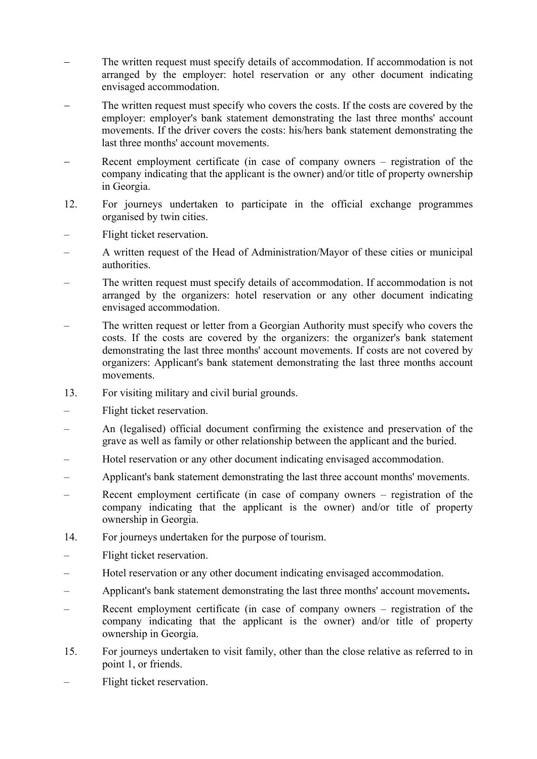- The written request must specify details of accommodation. If accommodation is not arranged by the employer: hotel reservation or any other document indicating envisaged accommodation.
- The written request must specify who covers the costs. If the costs are covered by the employer: employer's bank statement demonstrating the last three months' account movements. If the driver covers the costs: his/hers bank statement demonstrating the last three months' account movements.
- Recent employment certificate (in case of company owners registration of the company indicating that the applicant is the owner) and/or title of property ownership in Georgia.
- 12. For journeys undertaken to participate in the official exchange programmes organised by twin cities.
- Flight ticket reservation.
- A written request of the Head of Administration/Mayor of these cities or municipal authorities.
- The written request must specify details of accommodation. If accommodation is not arranged by the organizers: hotel reservation or any other document indicating envisaged accommodation.
- The written request or letter from a Georgian Authority must specify who covers the costs. If the costs are covered by the organizers: the organizer's bank statement demonstrating the last three months' account movements. If costs are not covered by organizers: Applicant's bank statement demonstrating the last three months account movements.
- 13. For visiting military and civil burial grounds.
- Flight ticket reservation.
- An (legalised) official document confirming the existence and preservation of the grave as well as family or other relationship between the applicant and the buried.
- Hotel reservation or any other document indicating envisaged accommodation.
- Applicant's bank statement demonstrating the last three account months' movements.
- Recent employment certificate (in case of company owners registration of the company indicating that the applicant is the owner) and/or title of property ownership in Georgia.
- 14. For journeys undertaken for the purpose of tourism.
- Flight ticket reservation.
- Hotel reservation or any other document indicating envisaged accommodation.
- Applicant's bank statement demonstrating the last three months' account movements**.**
- Recent employment certificate (in case of company owners registration of the company indicating that the applicant is the owner) and/or title of property ownership in Georgia.
- 15. For journeys undertaken to visit family, other than the close relative as referred to in point 1, or friends.
- Flight ticket reservation.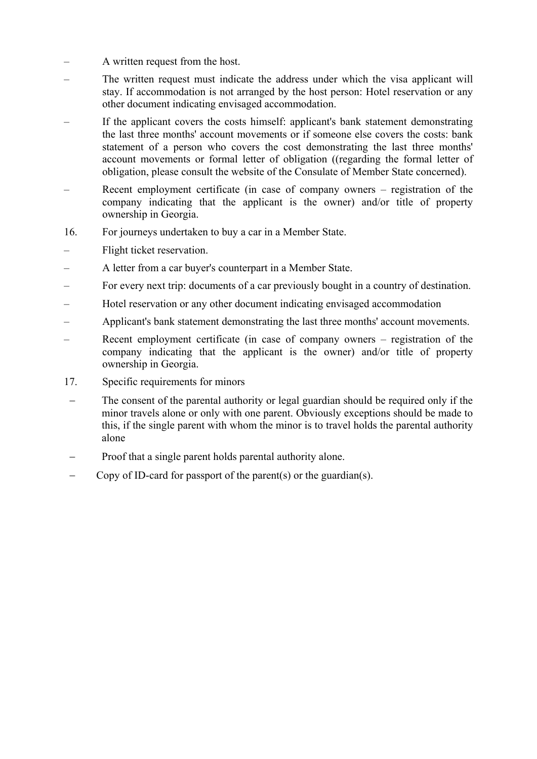- A written request from the host.
- The written request must indicate the address under which the visa applicant will stay. If accommodation is not arranged by the host person: Hotel reservation or any other document indicating envisaged accommodation.
- If the applicant covers the costs himself: applicant's bank statement demonstrating the last three months' account movements or if someone else covers the costs: bank statement of a person who covers the cost demonstrating the last three months' account movements or formal letter of obligation ((regarding the formal letter of obligation, please consult the website of the Consulate of Member State concerned).
- Recent employment certificate (in case of company owners registration of the company indicating that the applicant is the owner) and/or title of property ownership in Georgia.
- 16. For journeys undertaken to buy a car in a Member State.
- Flight ticket reservation.
- A letter from a car buyer's counterpart in a Member State.
- For every next trip: documents of a car previously bought in a country of destination.
- Hotel reservation or any other document indicating envisaged accommodation
- Applicant's bank statement demonstrating the last three months' account movements.
- Recent employment certificate (in case of company owners registration of the company indicating that the applicant is the owner) and/or title of property ownership in Georgia.
- 17. Specific requirements for minors
- The consent of the parental authority or legal guardian should be required only if the minor travels alone or only with one parent. Obviously exceptions should be made to this, if the single parent with whom the minor is to travel holds the parental authority alone
- Proof that a single parent holds parental authority alone.
- Copy of ID-card for passport of the parent(s) or the guardian(s).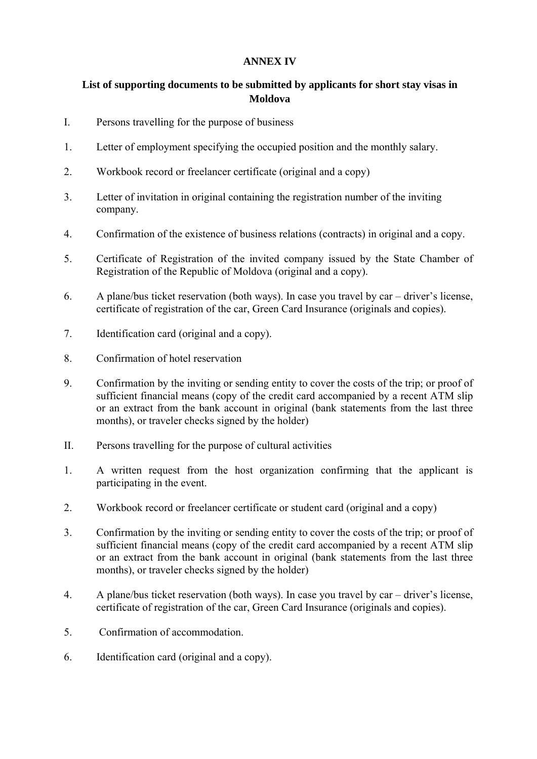## **ANNEX IV**

## **List of supporting documents to be submitted by applicants for short stay visas in Moldova**

- I. Persons travelling for the purpose of business
- 1. Letter of employment specifying the occupied position and the monthly salary.
- 2. Workbook record or freelancer certificate (original and a copy)
- 3. Letter of invitation in original containing the registration number of the inviting company.
- 4. Confirmation of the existence of business relations (contracts) in original and a copy.
- 5. Certificate of Registration of the invited company issued by the State Chamber of Registration of the Republic of Moldova (original and a copy).
- 6. A plane/bus ticket reservation (both ways). In case you travel by car driver's license, certificate of registration of the car, Green Card Insurance (originals and copies).
- 7. Identification card (original and a copy).
- 8. Confirmation of hotel reservation
- 9. Confirmation by the inviting or sending entity to cover the costs of the trip; or proof of sufficient financial means (copy of the credit card accompanied by a recent ATM slip or an extract from the bank account in original (bank statements from the last three months), or traveler checks signed by the holder)
- II. Persons travelling for the purpose of cultural activities
- 1. A written request from the host organization confirming that the applicant is participating in the event.
- 2. Workbook record or freelancer certificate or student card (original and a copy)
- 3. Confirmation by the inviting or sending entity to cover the costs of the trip; or proof of sufficient financial means (copy of the credit card accompanied by a recent ATM slip or an extract from the bank account in original (bank statements from the last three months), or traveler checks signed by the holder)
- 4. A plane/bus ticket reservation (both ways). In case you travel by car driver's license, certificate of registration of the car, Green Card Insurance (originals and copies).
- 5. Confirmation of accommodation.
- 6. Identification card (original and a copy).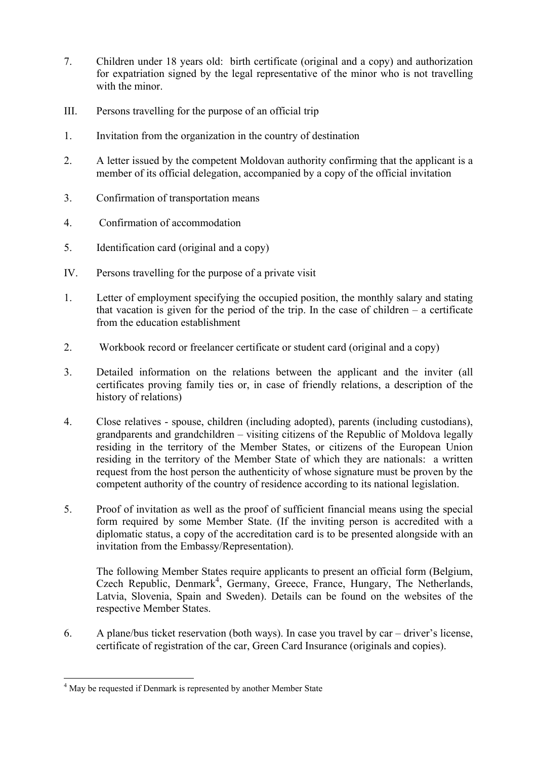- 7. Children under 18 years old: birth certificate (original and a copy) and authorization for expatriation signed by the legal representative of the minor who is not travelling with the minor
- III. Persons travelling for the purpose of an official trip
- 1. Invitation from the organization in the country of destination
- 2. A letter issued by the competent Moldovan authority confirming that the applicant is a member of its official delegation, accompanied by a copy of the official invitation
- 3. Confirmation of transportation means
- 4. Confirmation of accommodation
- 5. Identification card (original and a copy)
- IV. Persons travelling for the purpose of a private visit
- 1. Letter of employment specifying the occupied position, the monthly salary and stating that vacation is given for the period of the trip. In the case of children  $-$  a certificate from the education establishment
- 2. Workbook record or freelancer certificate or student card (original and a copy)
- 3. Detailed information on the relations between the applicant and the inviter (all certificates proving family ties or, in case of friendly relations, a description of the history of relations)
- 4. Close relatives spouse, children (including adopted), parents (including custodians), grandparents and grandchildren – visiting citizens of the Republic of Moldova legally residing in the territory of the Member States, or citizens of the European Union residing in the territory of the Member State of which they are nationals: a written request from the host person the authenticity of whose signature must be proven by the competent authority of the country of residence according to its national legislation.
- 5. Proof of invitation as well as the proof of sufficient financial means using the special form required by some Member State. (If the inviting person is accredited with a diplomatic status, a copy of the accreditation card is to be presented alongside with an invitation from the Embassy/Representation).

The following Member States require applicants to present an official form (Belgium, Czech Republic, Denmark<sup>4</sup>, Germany, Greece, France, Hungary, The Netherlands, Latvia, Slovenia, Spain and Sweden). Details can be found on the websites of the respective Member States.

6. A plane/bus ticket reservation (both ways). In case you travel by car – driver's license, certificate of registration of the car, Green Card Insurance (originals and copies).

**<sup>.</sup>** <sup>4</sup> May be requested if Denmark is represented by another Member State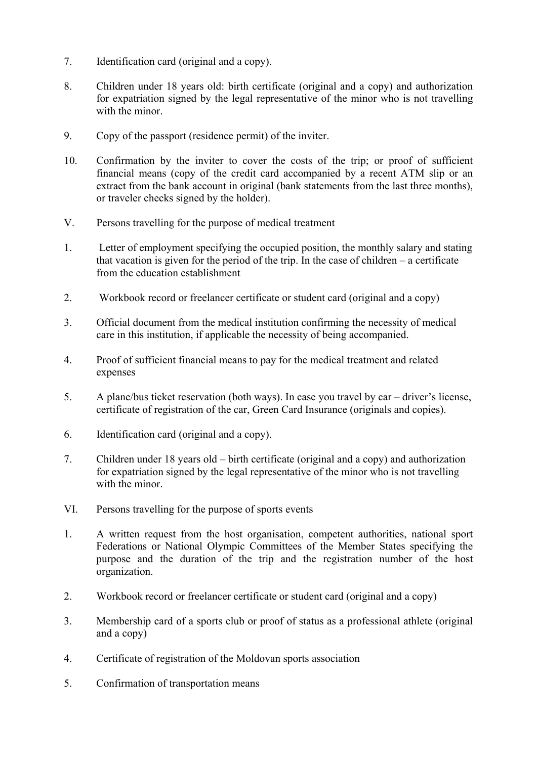- 7. Identification card (original and a copy).
- 8. Children under 18 years old: birth certificate (original and a copy) and authorization for expatriation signed by the legal representative of the minor who is not travelling with the minor.
- 9. Copy of the passport (residence permit) of the inviter.
- 10. Confirmation by the inviter to cover the costs of the trip; or proof of sufficient financial means (copy of the credit card accompanied by a recent ATM slip or an extract from the bank account in original (bank statements from the last three months), or traveler checks signed by the holder).
- V. Persons travelling for the purpose of medical treatment
- 1. Letter of employment specifying the occupied position, the monthly salary and stating that vacation is given for the period of the trip. In the case of children – a certificate from the education establishment
- 2. Workbook record or freelancer certificate or student card (original and a copy)
- 3. Official document from the medical institution confirming the necessity of medical care in this institution, if applicable the necessity of being accompanied.
- 4. Proof of sufficient financial means to pay for the medical treatment and related expenses
- 5. A plane/bus ticket reservation (both ways). In case you travel by car driver's license, certificate of registration of the car, Green Card Insurance (originals and copies).
- 6. Identification card (original and a copy).
- 7. Children under 18 years old birth certificate (original and a copy) and authorization for expatriation signed by the legal representative of the minor who is not travelling with the minor.
- VI. Persons travelling for the purpose of sports events
- 1. A written request from the host organisation, competent authorities, national sport Federations or National Olympic Committees of the Member States specifying the purpose and the duration of the trip and the registration number of the host organization.
- 2. Workbook record or freelancer certificate or student card (original and a copy)
- 3. Membership card of a sports club or proof of status as a professional athlete (original and a copy)
- 4. Certificate of registration of the Moldovan sports association
- 5. Confirmation of transportation means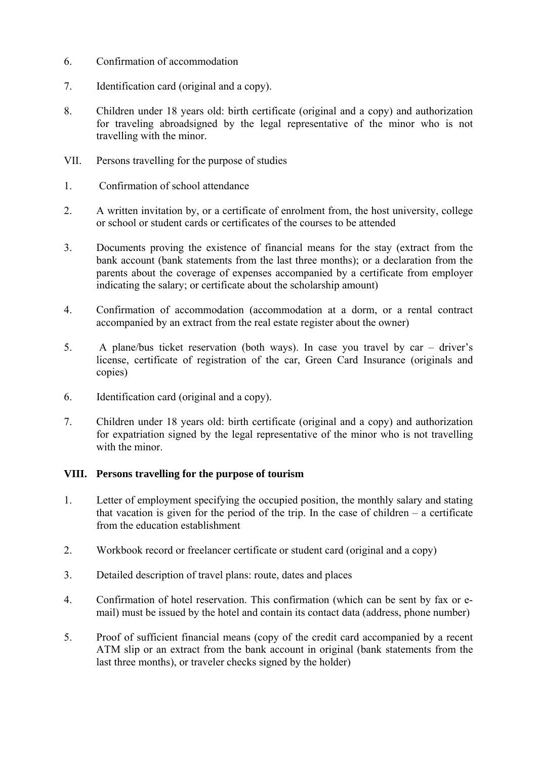- 6. Confirmation of accommodation
- 7. Identification card (original and a copy).
- 8. Children under 18 years old: birth certificate (original and a copy) and authorization for traveling abroadsigned by the legal representative of the minor who is not travelling with the minor.
- VII. Persons travelling for the purpose of studies
- 1. Confirmation of school attendance
- 2. A written invitation by, or a certificate of enrolment from, the host university, college or school or student cards or certificates of the courses to be attended
- 3. Documents proving the existence of financial means for the stay (extract from the bank account (bank statements from the last three months); or a declaration from the parents about the coverage of expenses accompanied by a certificate from employer indicating the salary; or certificate about the scholarship amount)
- 4. Confirmation of accommodation (accommodation at a dorm, or a rental contract accompanied by an extract from the real estate register about the owner)
- 5. A plane/bus ticket reservation (both ways). In case you travel by car driver's license, certificate of registration of the car, Green Card Insurance (originals and copies)
- 6. Identification card (original and a copy).
- 7. Children under 18 years old: birth certificate (original and a copy) and authorization for expatriation signed by the legal representative of the minor who is not travelling with the minor

#### **VIII. Persons travelling for the purpose of tourism**

- 1. Letter of employment specifying the occupied position, the monthly salary and stating that vacation is given for the period of the trip. In the case of children – a certificate from the education establishment
- 2. Workbook record or freelancer certificate or student card (original and a copy)
- 3. Detailed description of travel plans: route, dates and places
- 4. Confirmation of hotel reservation. This confirmation (which can be sent by fax or email) must be issued by the hotel and contain its contact data (address, phone number)
- 5. Proof of sufficient financial means (copy of the credit card accompanied by a recent ATM slip or an extract from the bank account in original (bank statements from the last three months), or traveler checks signed by the holder)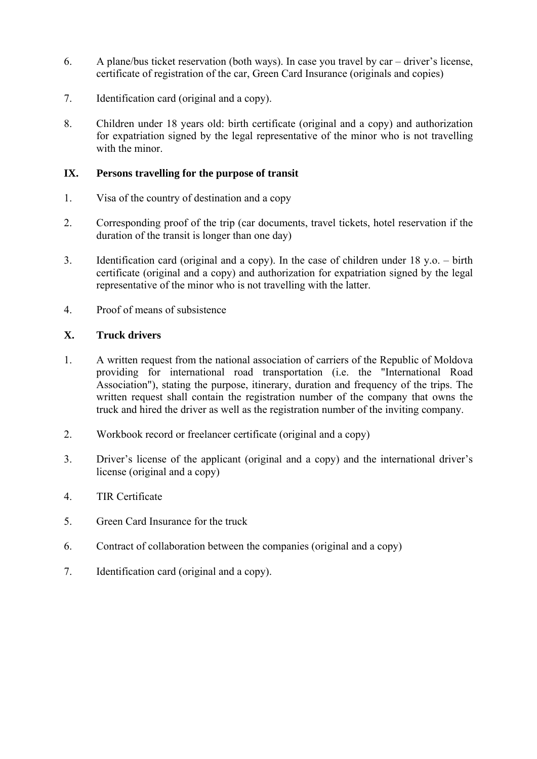- 6. A plane/bus ticket reservation (both ways). In case you travel by car driver's license, certificate of registration of the car, Green Card Insurance (originals and copies)
- 7. Identification card (original and a copy).
- 8. Children under 18 years old: birth certificate (original and a copy) and authorization for expatriation signed by the legal representative of the minor who is not travelling with the minor.

## **IX. Persons travelling for the purpose of transit**

- 1. Visa of the country of destination and a copy
- 2. Corresponding proof of the trip (car documents, travel tickets, hotel reservation if the duration of the transit is longer than one day)
- 3. Identification card (original and a copy). In the case of children under 18 y.o. birth certificate (original and a copy) and authorization for expatriation signed by the legal representative of the minor who is not travelling with the latter.
- 4. Proof of means of subsistence

## **X. Truck drivers**

- 1. A written request from the national association of carriers of the Republic of Moldova providing for international road transportation (i.e. the "International Road Association"), stating the purpose, itinerary, duration and frequency of the trips. The written request shall contain the registration number of the company that owns the truck and hired the driver as well as the registration number of the inviting company.
- 2. Workbook record or freelancer certificate (original and a copy)
- 3. Driver's license of the applicant (original and a copy) and the international driver's license (original and a copy)
- 4. TIR Certificate
- 5. Green Card Insurance for the truck
- 6. Contract of collaboration between the companies (original and a copy)
- 7. Identification card (original and a copy).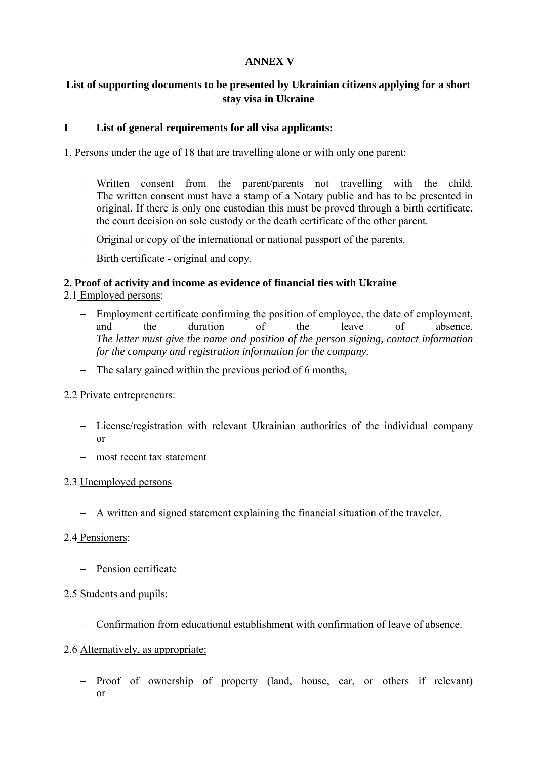## **ANNEX V**

## **List of supporting documents to be presented by Ukrainian citizens applying for a short stay visa in Ukraine**

## **I List of general requirements for all visa applicants:**

1. Persons under the age of 18 that are travelling alone or with only one parent:

- − Written consent from the parent/parents not travelling with the child. The written consent must have a stamp of a Notary public and has to be presented in original. If there is only one custodian this must be proved through a birth certificate, the court decision on sole custody or the death certificate of the other parent.
- − Original or copy of the international or national passport of the parents.
- − Birth certificate original and copy.

## **2. Proof of activity and income as evidence of financial ties with Ukraine**

2.1 Employed persons:

- − Employment certificate confirming the position of employee, the date of employment, and the duration of the leave of absence. *The letter must give the name and position of the person signing, contact information for the company and registration information for the company.*
- − The salary gained within the previous period of 6 months,

## 2.2 Private entrepreneurs:

- − License/registration with relevant Ukrainian authorities of the individual company or
- − most recent tax statement

## 2.3 Unemployed persons

− A written and signed statement explaining the financial situation of the traveler.

## 2.4 Pensioners:

− Pension certificate

## 2.5 Students and pupils:

− Confirmation from educational establishment with confirmation of leave of absence.

## 2.6 Alternatively, as appropriate:

− Proof of ownership of property (land, house, car, or others if relevant) or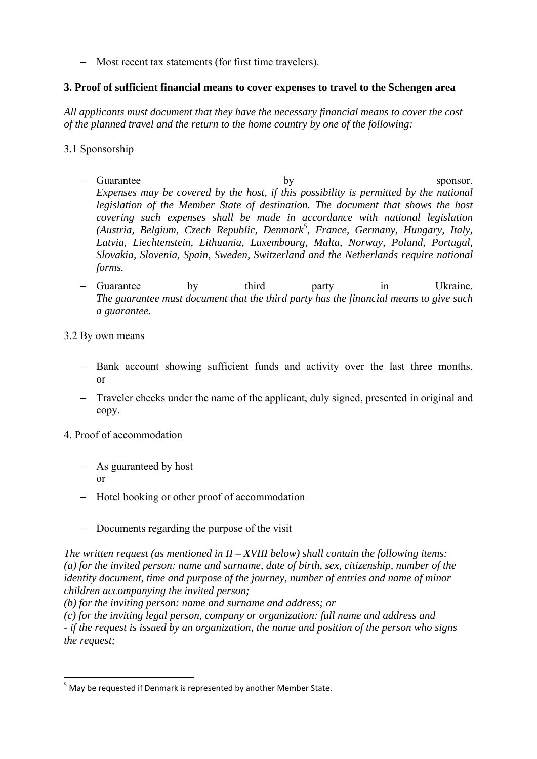− Most recent tax statements (for first time travelers).

## **3. Proof of sufficient financial means to cover expenses to travel to the Schengen area**

*All applicants must document that they have the necessary financial means to cover the cost of the planned travel and the return to the home country by one of the following:* 

## 3.1 Sponsorship

- − Guarantee by sponsor. *Expenses may be covered by the host, if this possibility is permitted by the national legislation of the Member State of destination. The document that shows the host covering such expenses shall be made in accordance with national legislation (Austria, Belgium, Czech Republic, Denmark<sup>5</sup> , France, Germany, Hungary, Italy, Latvia, Liechtenstein, Lithuania, Luxembourg, Malta, Norway, Poland, Portugal, Slovakia, Slovenia, Spain, Sweden, Switzerland and the Netherlands require national forms.*
- − Guarantee by third party in Ukraine. *The guarantee must document that the third party has the financial means to give such a guarantee.*

## 3.2 By own means

- − Bank account showing sufficient funds and activity over the last three months, or
- − Traveler checks under the name of the applicant, duly signed, presented in original and copy.

## 4. Proof of accommodation

- − As guaranteed by host or
- − Hotel booking or other proof of accommodation
- − Documents regarding the purpose of the visit

*The written request (as mentioned in II – XVIII below) shall contain the following items: (a) for the invited person: name and surname, date of birth, sex, citizenship, number of the identity document, time and purpose of the journey, number of entries and name of minor children accompanying the invited person;* 

*(b) for the inviting person: name and surname and address; or* 

*(c) for the inviting legal person, company or organization: full name and address and - if the request is issued by an organization, the name and position of the person who signs the request;* 

**<sup>.</sup>** <sup>5</sup> May be requested if Denmark is represented by another Member State.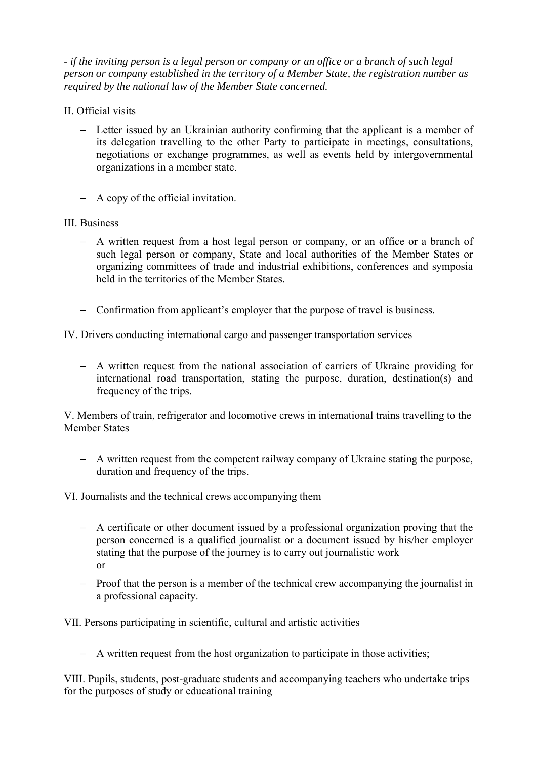*- if the inviting person is a legal person or company or an office or a branch of such legal person or company established in the territory of a Member State, the registration number as required by the national law of the Member State concerned.* 

- II. Official visits
	- − Letter issued by an Ukrainian authority confirming that the applicant is a member of its delegation travelling to the other Party to participate in meetings, consultations, negotiations or exchange programmes, as well as events held by intergovernmental organizations in a member state.
	- − A copy of the official invitation.
- III. Business
	- − A written request from a host legal person or company, or an office or a branch of such legal person or company, State and local authorities of the Member States or organizing committees of trade and industrial exhibitions, conferences and symposia held in the territories of the Member States.
	- − Confirmation from applicant's employer that the purpose of travel is business.

IV. Drivers conducting international cargo and passenger transportation services

− A written request from the national association of carriers of Ukraine providing for international road transportation, stating the purpose, duration, destination(s) and frequency of the trips.

V. Members of train, refrigerator and locomotive crews in international trains travelling to the Member States

- − A written request from the competent railway company of Ukraine stating the purpose, duration and frequency of the trips.
- VI. Journalists and the technical crews accompanying them
	- − A certificate or other document issued by a professional organization proving that the person concerned is a qualified journalist or a document issued by his/her employer stating that the purpose of the journey is to carry out journalistic work or
	- − Proof that the person is a member of the technical crew accompanying the journalist in a professional capacity.

VII. Persons participating in scientific, cultural and artistic activities

− A written request from the host organization to participate in those activities;

VIII. Pupils, students, post-graduate students and accompanying teachers who undertake trips for the purposes of study or educational training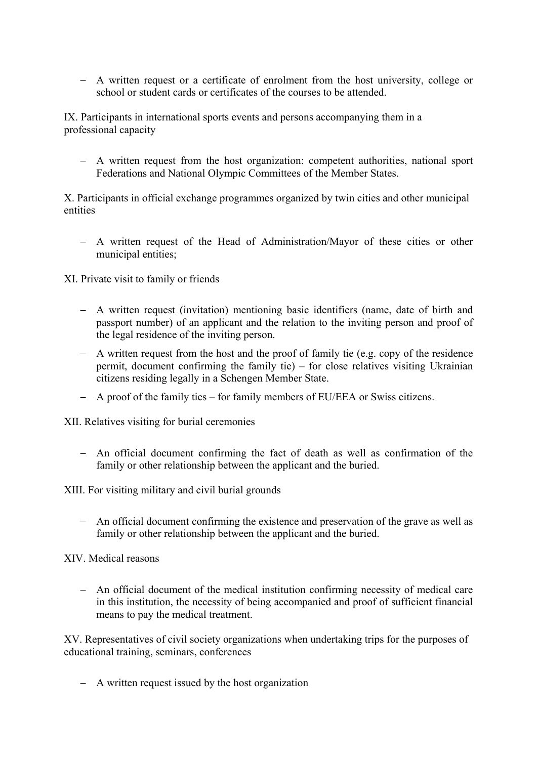− A written request or a certificate of enrolment from the host university, college or school or student cards or certificates of the courses to be attended.

IX. Participants in international sports events and persons accompanying them in a professional capacity

− A written request from the host organization: competent authorities, national sport Federations and National Olympic Committees of the Member States.

X. Participants in official exchange programmes organized by twin cities and other municipal entities

− A written request of the Head of Administration/Mayor of these cities or other municipal entities;

XI. Private visit to family or friends

- − A written request (invitation) mentioning basic identifiers (name, date of birth and passport number) of an applicant and the relation to the inviting person and proof of the legal residence of the inviting person.
- − A written request from the host and the proof of family tie (e.g. copy of the residence permit, document confirming the family tie) – for close relatives visiting Ukrainian citizens residing legally in a Schengen Member State.
- − A proof of the family ties for family members of EU/EEA or Swiss citizens.

XII. Relatives visiting for burial ceremonies

− An official document confirming the fact of death as well as confirmation of the family or other relationship between the applicant and the buried.

XIII. For visiting military and civil burial grounds

− An official document confirming the existence and preservation of the grave as well as family or other relationship between the applicant and the buried.

XIV. Medical reasons

− An official document of the medical institution confirming necessity of medical care in this institution, the necessity of being accompanied and proof of sufficient financial means to pay the medical treatment.

XV. Representatives of civil society organizations when undertaking trips for the purposes of educational training, seminars, conferences

− A written request issued by the host organization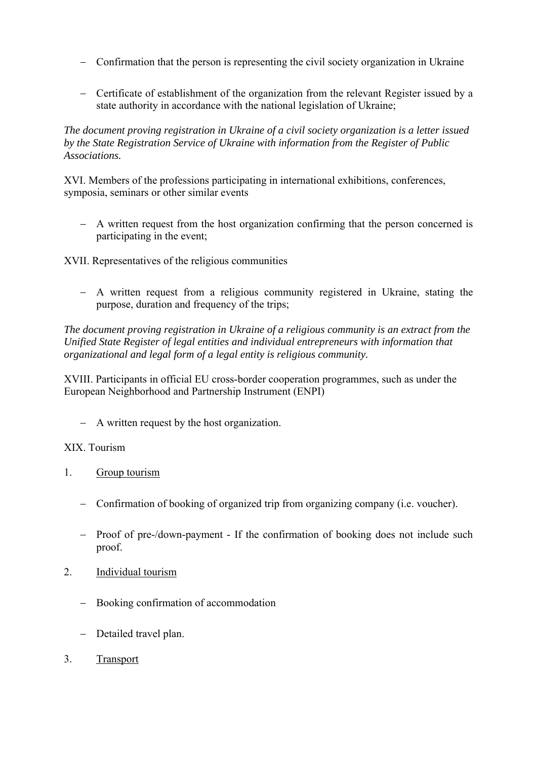- − Confirmation that the person is representing the civil society organization in Ukraine
- − Certificate of establishment of the organization from the relevant Register issued by a state authority in accordance with the national legislation of Ukraine;

*The document proving registration in Ukraine of a civil society organization is a letter issued by the State Registration Service of Ukraine with information from the Register of Public Associations.* 

XVI. Members of the professions participating in international exhibitions, conferences, symposia, seminars or other similar events

− A written request from the host organization confirming that the person concerned is participating in the event;

XVII. Representatives of the religious communities

− A written request from a religious community registered in Ukraine, stating the purpose, duration and frequency of the trips;

*The document proving registration in Ukraine of a religious community is an extract from the Unified State Register of legal entities and individual entrepreneurs with information that organizational and legal form of a legal entity is religious community.* 

XVIII. Participants in official EU cross-border cooperation programmes, such as under the European Neighborhood and Partnership Instrument (ENPI)

− A written request by the host organization.

#### XIX. Tourism

- 1. Group tourism
	- − Confirmation of booking of organized trip from organizing company (i.e. voucher).
	- − Proof of pre-/down-payment If the confirmation of booking does not include such proof.
- 2. Individual tourism
	- − Booking confirmation of accommodation
	- − Detailed travel plan.
- 3. Transport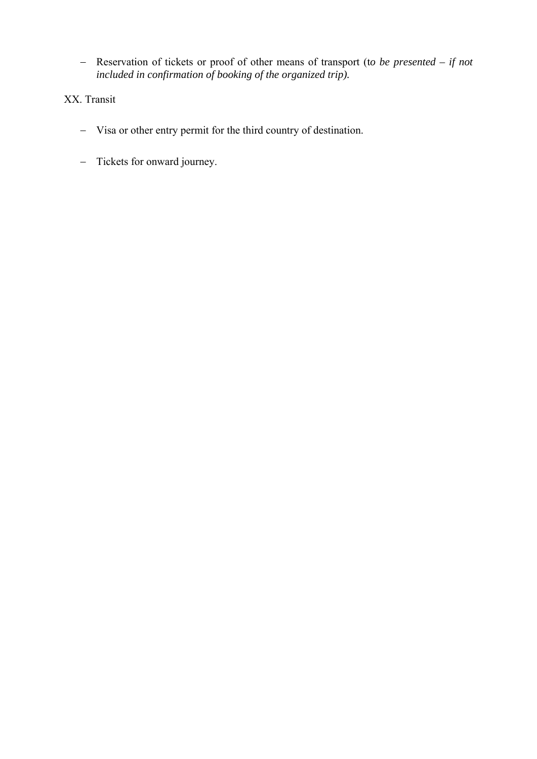− Reservation of tickets or proof of other means of transport (t*o be presented – if not included in confirmation of booking of the organized trip).*

# XX. Transit

- − Visa or other entry permit for the third country of destination.
- − Tickets for onward journey.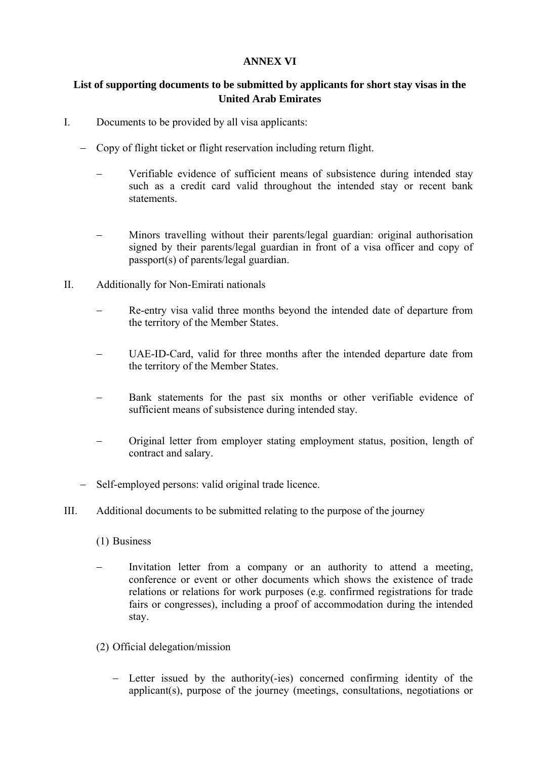## **ANNEX VI**

## **List of supporting documents to be submitted by applicants for short stay visas in the United Arab Emirates**

- I. Documents to be provided by all visa applicants:
	- − Copy of flight ticket or flight reservation including return flight.
		- Verifiable evidence of sufficient means of subsistence during intended stay such as a credit card valid throughout the intended stay or recent bank statements.
		- Minors travelling without their parents/legal guardian: original authorisation signed by their parents/legal guardian in front of a visa officer and copy of passport(s) of parents/legal guardian.
- II. Additionally for Non-Emirati nationals
	- Re-entry visa valid three months beyond the intended date of departure from the territory of the Member States.
	- UAE-ID-Card, valid for three months after the intended departure date from the territory of the Member States.
	- Bank statements for the past six months or other verifiable evidence of sufficient means of subsistence during intended stay.
	- − Original letter from employer stating employment status, position, length of contract and salary.
	- − Self-employed persons: valid original trade licence.
- III. Additional documents to be submitted relating to the purpose of the journey
	- (1) Business
	- Invitation letter from a company or an authority to attend a meeting, conference or event or other documents which shows the existence of trade relations or relations for work purposes (e.g. confirmed registrations for trade fairs or congresses), including a proof of accommodation during the intended stay.
	- (2) Official delegation/mission
		- − Letter issued by the authority(-ies) concerned confirming identity of the applicant(s), purpose of the journey (meetings, consultations, negotiations or